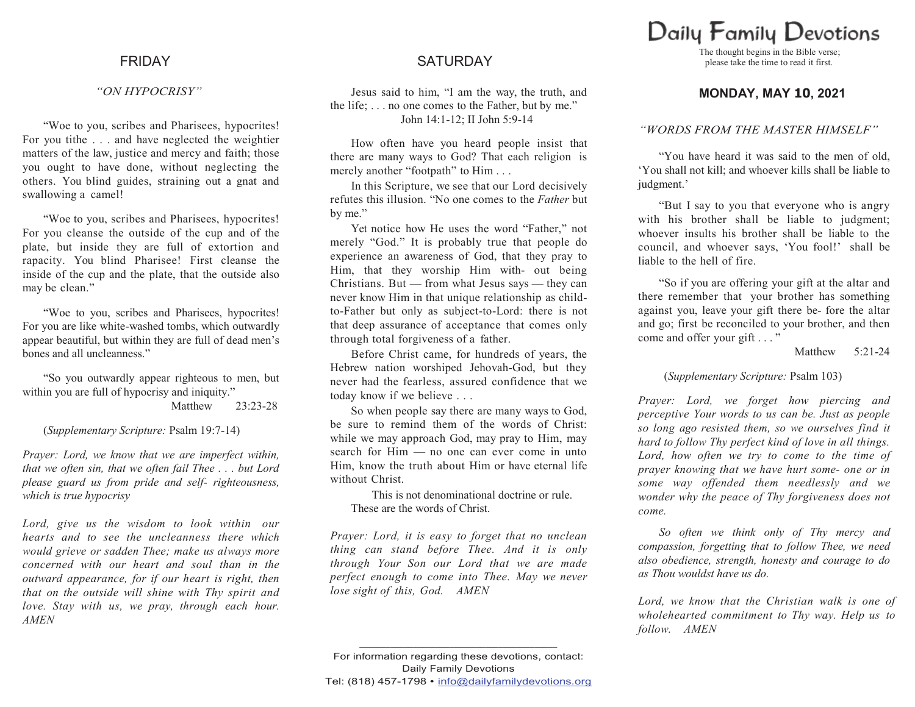### *"ON HYPOCRISY"*

"Woe to you, scribes and Pharisees, hypocrites! For you tithe . . . and have neglected the weightier matters of the law, justice and mercy and faith; those you ought to have done, without neglecting the others. You blind guides, straining out a gnat and swallowing a camel!

"Woe to you, scribes and Pharisees, hypocrites! For you cleanse the outside of the cup and of the plate, but inside they are full of extortion and rapacity. You blind Pharisee! First cleanse the inside of the cup and the plate, that the outside also may be clean."

"Woe to you, scribes and Pharisees, hypocrites! For you are like white-washed tombs, which outwardly appear beautiful, but within they are full of dead men"s bones and all uncleanness."

"So you outwardly appear righteous to men, but within you are full of hypocrisy and iniquity." Matthew 23:23-28

### (*Supplementary Scripture:* Psalm 19:7-14)

*Prayer: Lord, we know that we are imperfect within, that we often sin, that we often fail Thee . . . but Lord please guard us from pride and self- righteousness, which is true hypocrisy*

*Lord, give us the wisdom to look within our hearts and to see the uncleanness there which would grieve or sadden Thee; make us always more concerned with our heart and soul than in the outward appearance, for if our heart is right, then that on the outside will shine with Thy spirit and love. Stay with us, we pray, through each hour. AMEN*

# FRIDAY SATURDAY

Jesus said to him, "I am the way, the truth, and the life; . . . no one comes to the Father, but by me." John 14:1-12; II John 5:9-14

How often have you heard people insist that there are many ways to God? That each religion is merely another "footpath" to Him . . .

In this Scripture, we see that our Lord decisively refutes this illusion. "No one comes to the *Father* but by me."

Yet notice how He uses the word "Father," not merely "God." It is probably true that people do experience an awareness of God, that they pray to Him, that they worship Him with- out being Christians. But — from what Jesus says — they can never know Him in that unique relationship as childto-Father but only as subject-to-Lord: there is not that deep assurance of acceptance that comes only through total forgiveness of a father.

Before Christ came, for hundreds of years, the Hebrew nation worshiped Jehovah-God, but they never had the fearless, assured confidence that we today know if we believe . . .

So when people say there are many ways to God, be sure to remind them of the words of Christ: while we may approach God, may pray to Him, may search for Him — no one can ever come in unto Him, know the truth about Him or have eternal life without Christ.

This is not denominational doctrine or rule. These are the words of Christ.

*Prayer: Lord, it is easy to forget that no unclean thing can stand before Thee. And it is only through Your Son our Lord that we are made perfect enough to come into Thee. May we never lose sight of this, God. AMEN*

# Daily Family Devotions

The thought begins in the Bible verse; please take the time to read it first.

## **MONDAY, MAY 10, 2021**

### *"WORDS FROM THE MASTER HIMSELF"*

"You have heard it was said to the men of old, "You shall not kill; and whoever kills shall be liable to judgment.'

"But I say to you that everyone who is angry with his brother shall be liable to judgment; whoever insults his brother shall be liable to the council, and whoever says, "You fool!" shall be liable to the hell of fire.

"So if you are offering your gift at the altar and there remember that your brother has something against you, leave your gift there be- fore the altar and go; first be reconciled to your brother, and then come and offer your gift . . . "

Matthew 5:21-24

(*Supplementary Scripture:* Psalm 103)

*Prayer: Lord, we forget how piercing and perceptive Your words to us can be. Just as people so long ago resisted them, so we ourselves find it hard to follow Thy perfect kind of love in all things. Lord, how often we try to come to the time of prayer knowing that we have hurt some- one or in some way offended them needlessly and we wonder why the peace of Thy forgiveness does not come.*

*So often we think only of Thy mercy and compassion, forgetting that to follow Thee, we need also obedience, strength, honesty and courage to do as Thou wouldst have us do.*

*Lord, we know that the Christian walk is one of wholehearted commitment to Thy way. Help us to follow. AMEN*

**\_\_\_\_\_\_\_\_\_\_\_\_\_\_\_\_\_\_\_\_\_\_\_\_\_\_\_\_\_\_\_\_\_\_\_\_\_\_\_\_\_\_\_\_**